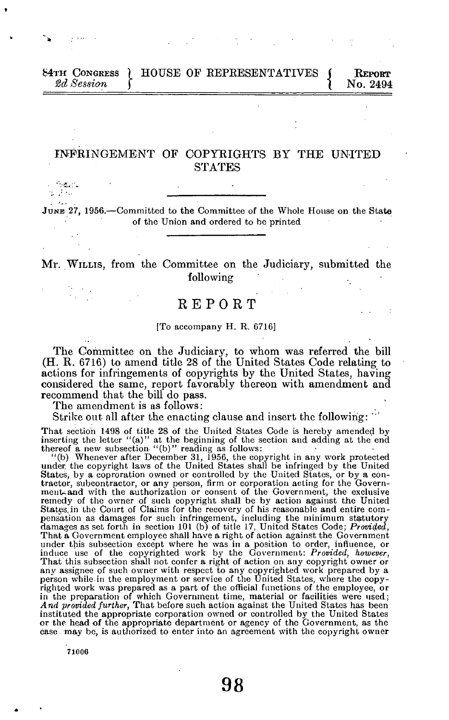$\sim$  1

# INFRINGEMENT OF COPYRIGHTS BY THE UNITED **STATES**

 $\mathcal{L}$ **JUN E 27, 1956.—Committed to the Committee of the Whole House on the State of the Union and ordered to be printed** 

# Mr. **WILLIS**, from the Committee on the Judiciary, submitted the following

# **REPOR T**

#### **[To accompany H. R. 6716]**

The Committee on the Judiciary, to whom was referred the bill (H. R. 6716) to amend title 28 of the United States Code relating to actions for infringements of copyrights by the United States, having considered the same, report favorably thereon with amendment and recommend that the bill do pass.

The amendment is as follows:

Strike out all after the enacting clause and insert the following: "'

**That section 1498 of title 28 of the United States Code is hereby amended by inserting the letter "(a)" at the beginning of the section and adding at the end thereof a new subsection "(b)" reading as follows:** 

**"(b) Whenever after December 31, 1956, the copyright in any work protected under the copyright laws of the United States shall be infringed by the United**  States, by a coproration owned or controlled by the United States, or by a con**tractor, subcontractor, or any person, firm or corporation acting for the Govern-ments and with the authorization or consent of the Government, the exclusive**  remedy of the owner of such copyright shall be by action against the United<br>States in the Court of Claims for the recovery of his reasonable and entire com-<br>pensation as damages for such infringement, including the minimum That a Government employee shall have a right of action against the Government **under this subsection except where he was in a position to order, influence, or induce use of the copyrighted work by the Government:** *Provided, however,*  **That this subsection shall not confer a right of action on any copyright owner or any assignee of such owner with respect to any copyrighted work prepared by a person while in the employment or service of the United States, where the copy-righted work was prepared as a part of the official functions of the employee, or in the preparation of which Government time, material or facilities were used;**  *And provided further,* **That before such action against the United States has been instituted the appropriate corporation owned or controlled by the United States**  or the head of the appropriate department or agency of the Government, as the **case may be, is authorized to enter into an agreement with the copyright owner** 

**71006** 

**Section** a Pol

 $\epsilon_{\rm{max}}$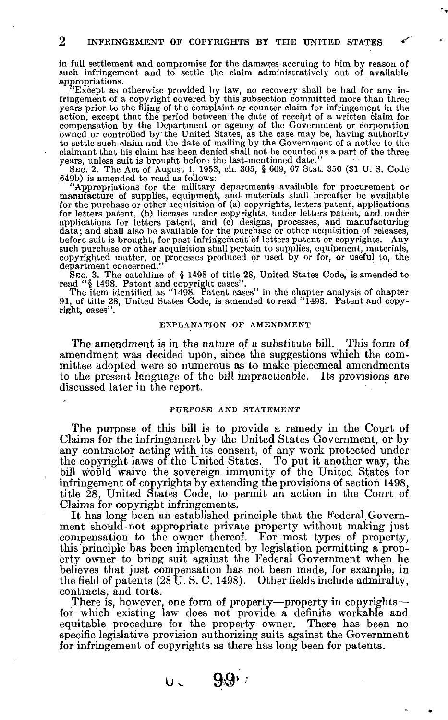**in full settlement and compromise for the damages accruing to him by reason of such infringement and to settle the claim administratively out of available appropriations.** 

**"Except as otherwise provided by law, no recovery shall be had for any infringement of a copyright covered by this subsection committed more than three years prior to the filing of the complaint or counter claim for infringement in the action, except that the period between" the date of receipt of a written claim for**  compensation by the Department or agency of the Government or corporation<br>owned or controlled by the United States, as the case may be, having authority<br>to settle such claim and the date of mailing by the Government of a n **claimant that his claim has been denied shall not be counted as a part of the three years, unless suit is brought before the last-mentioned date."** 

**SEC. 2. The Act of August 1, 1953, ch. 305, § 609, 67 Stat. 350 (31 U. S. Code 649b) is amended to read as follows:** 

**"Appropriations for the military departments available for procurement or manufacture of supplies, equipment, and materials shall hereafter be available**  for the purchase or other acquisition of (a) copyrights, letters patent, applications for letters patent, (b) licenses under copyrights, under letters patent, and under applications for letters patent, and (c) designs, processes, and manufacturing<br>data; and shall also be available for the purchase or other **before suit is brought, for past infringement of letters patent or copyrights. Any such purchase or other acquisition shall pertain to supplies, equipment, materials, copyrighted matter, or. processes produced or used by or for, or useful to, the department concerned."** 

SEC. 3. The catchline of § 1498 of title 28, United States Code, is amended to read "§ 1498. Patent and copyright cases".

**The item identified as "1498. Patent cases" in the chapter analysis of chapter 91, of title 28, United States Code, is amended to read "1498. Patent and copy-right, cases".** 

#### **EXPLANATION OF AMENDMENT**

The amendment is in the nature of a substitute bill. This form of amendment was decided upon, since the suggestions which the committee adopted were so numerous as to make piecemeal amendments to the present language of the bill impracticable. Its provisions are discussed later in the report.

#### **PURPOSE AND STATEMENT**

The purpose of this bill is to provide a remedy in the Court of Claims for the infringement by the United States Government, or by any contractor acting with its consent, of any work protected under the copyright laws of the United States. To put it another way, the bill would waive the sovereign immunity of the United States for infringement of copyrights by extending the provisions of section 1498, title 28, United States Code, to permit an action in the Court of Claims for copyright infringements.

It has long been an established principle that the Federal.Government should not appropriate private property without making just compensation to the owner thereof. For most types of property, this principle has been implemented by legislation permitting a property owner to bring suit against the Federal Government when he believes that just compensation has not been made, for example, in the field of patents  $(28 \text{ U. S. C. 1498})$ . Other fields include admiralty, contracts, and torts.

There is, however, one form of property—property in copyrights for which existing law does not provide a definite workable and equitable procedure for the property owner. There has been no specific legislative provision authorizing suits against the Government for infringement of copyrights as there has long been for patents.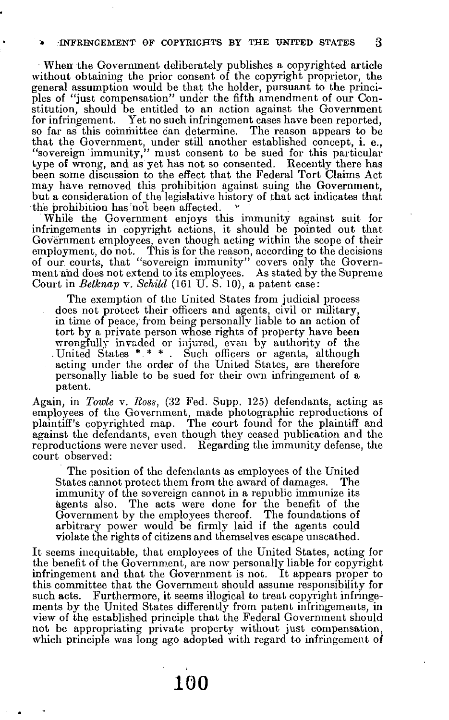When the Government deliberately publishes a copyrighted article without obtaining the prior consent of the copyright proprietor, the general assumption would be that the holder, pursuant to the principles of "just compensation" under the fifth amendment of our Constitution, should be entitled to an action against the Government for infringement. Yet no such infringement cases have been reported, so far as this committee can determine. The reason appears to be that the Government, under still another established concept, i. e., "sovereign immunity," must consent to be sued for this particular type of wrong, and as yet has not so consented. Recently there has been some discussion to the effect that the Federal Tort Claims Act may have removed this prohibition against suing the Government, but a consideration of the legislative history of that act indicates that the prohibition has not been affected.

While the Government enjoys this immunity against suit for infringements in copyright actions, it should be pointed out that Government employees, even though acting within the scope of their employment, do not. This is for the reason, according to the decisions of our. courts, that "sovereign immunity" covers only the Government and does not extend to its employees. As stated by the Supreme Court in *Belknap* v. *Schild* **(161** U. S. **10),** a patent case:

The exemption of the United States from judicial process does not protect their officers and agents, civil or military, in time of peace, from being personally liable to an action of tort by a private person whose rights of property have been wrongfully invaded or injured, even by authority of the .United States \* \* \* . Such officers or agents, although acting under the order of the United States, are therefore personally liable to be sued for their own infringement of a patent.

Again, in *Towle* v. *Ross,* **(3 2** Fed. Supp. **125)** defendants, acting as employees of the Government, made photographic reproductions of plaintiff's copyrighted map. The court found for the plaintiff and against the defendants, even though they ceased publication and the reproductions were never used. Regarding the immunity defense, the court observed:

The position of the defendants as employees of the United States cannot protect them from the award of damages. The immunity of the sovereign cannot in a republic immunize its agents also. The acts were done for the benefit of the Government by the employees thereof. The foundations of arbitrary power would be firmly laid if the agents could violate the rights of citizens and themselves escape unscathed.

It seems inequitable, that employees of the United States, acting for the benefit of the Government, are now personally liable for copyright infringement and that the Government is not. It appears proper to this committee that the Government should assume responsibility for such acts. Furthermore, it seems illogical to treat copyright infringements by the United States differently from patent infringements, in view of the established principle that the Federal Government should not be appropriating private property without just compensation, which principle was long ago adopted with regard to infringement of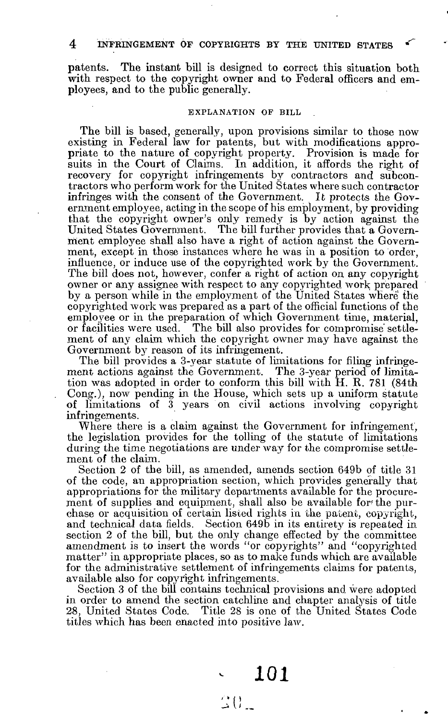**4 INFRINGEMEN T O F COPYRIGHT S B Y TH E UNITE D STATE S** 

patents. The instant bill is designed to correct this situation both with respect to the copyright owner and to Federal officers and employees, and to the public generally.

# **EXPLANATION OF BILL**

The bill is based, generally, upon provisions similar to those now existing in Federal law for patents, but with modifications appropriate to the nature of copyright property. Provision is made for suits in the Court of Claims. In addition, it affords the right of recovery for copyright infringements by contractors and subcontractors who perform work for the United States where such contractor infringes with the consent of the Government. It protects the Government employee, acting in the scope of his employment, by providing that the copyright owner's only remedy is by action against the United States Government. The bill further provides that a Government employee shall also have a right of action against the Government, except in those instances where he was in a position to order, influence, or induce use of the copyrighted work by the Government. The bill does not, however, confer a right of action on any copyright owner or any assignee with respect to any copyrighted work prepared by a person while in the employment of the United States where the copyrighted work was prepared as a part of the official functions of the employee or in the preparation of which Government time, material, or facilities were used. The bill also provides for compromise settlement of any claim which the copyright owner may have against the Government by reason of its infringement.

The bill provides a **3**-year statute of limitations for filing infringement actions against the Government. The 3-year period of limitation was adopted in order to conform this bill with H. R. 781 (84th Cong.), now pending in the House, which sets up a uniform statute of limitations of 3 years on civil actions involving copyright infringements.

Where there is a claim against the Government for infringement, the legislation provides for the tolling of the statute of limitations during the time negotiations are under way for the compromise settlement of the claim.

Section 2 of the bill, as amended, amends section 649b of title **3 1**  of the code, an appropriation section, which provides generally that appropriations for the military departments available for the procurement of supplies and equipment, shall also be available for'the purchase or acquisition of certain listed rights in the patent, copyright, and technical data fields. Section 649b in its entirety is repeated in section 2 of the bill, but the only change effected by the committee amendment is to insert the words "or copyrights" and "copyrighted matter" in appropriate places, so as to make funds which are available for the administrative settlement of infringements claims for patents, available also for copyright infringements.

Section **3** of the bill contains technical provisions and were adopted in order to amend the section catchline and chapter analysis of title 28, United States Code. Title 28 is one of the United States Code titles which has been enacted into positive law.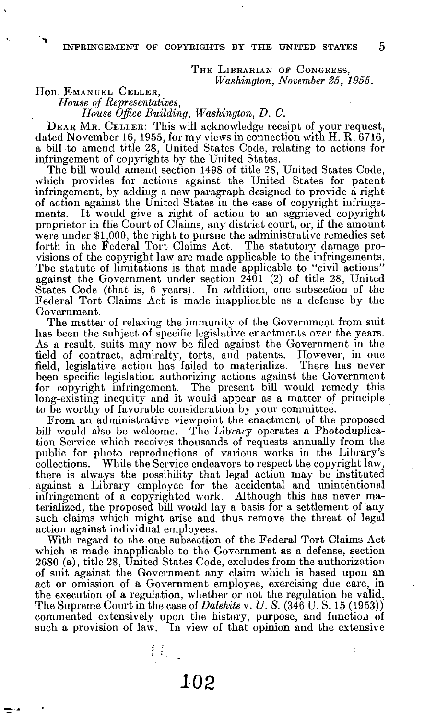**THE LIBRARIAN OF CONGRESS,**  *Washington, November 25, 1955.* 

### Hon. **EMANUEL CELLER,**

*House of Representatives,* 

*House Office Building, Washington, D. C.* 

**DEAR MR. CELLER**: This will acknowledge receipt of your request, dated November **16, 1955 ,** for my views in connection with H. R. **6716 ,**  a bill to amend title **28 ,** United States Code, relating to actions for infringement of copyrights by the United States.

The bill would amend section **149 8** of title **28 ,** United States Code, which provides for actions against the United States for patent infringement, by adding a new paragraph designed to provide a right of action against the United States in the case of copyright infringements. It would give a right of action to an aggrieved copyright proprietor in the Court of Claims, any district court, or, if the amount **Avere** under **\$1,000 ,** the right to pursue the administrative remedies set forth in the Federal Tort Claims Act. The statutory damage provisions of the copyright law are made applicable to the infringements. The statute of limitations is that made applicable to "civil actions" against the Government under section **240 1 (2)** of title **28 ,** United States Code (that is, **6** years). In addition, one subsection of the Federal Tort Claims Act is made inapplicable as a defense by the Government.

The matter of relaxing the immunity of the Government from suit has been the subject of specific legislative enactments over the years. As a result, suits may now be filed against the Government in the field of contract, admiralty, torts, and patents. However, in one field, legislative action has failed to materialize. There has never been specific legislation authorizing actions against the Government for copyright infringement. The present bill would remedy this long-existing inequity and it would appear as a matter of principle to be worthy of favorable consideration by your committee.

From an administrative viewpoint the enactment of the proposed bill would also be welcome. The Library operates a Photoduplication Service which receives thousands of requests annually from the public for photo reproductions of various works in the Library's collections. While the Service endeavors to respect the copyright law, there is always the possibility that legal action may be instituted against a Library employee for the accidental and unintentional infringement of a copyrighted work. Although this has never materialized, the proposed bill would lay a basis for a settlement of any such claims which might arise and thus remove the threat of legal action against individual employees.

With regard to the one subsection of the Federal Tort Claims Act which is made inapplicable to the Government as a defense, section **268 0** (a), title **28 ,** United States Code, excludes from the authorization of suit against the Government any claim which is based upon an act or omission of a Government employee, exercising due care, in the execution of a regulation, whether or not the regulation be valid. -The Supreme Court in the case of *Dalehite* v. *U. S.* **(34 6** U. S. **1 5 (1953))**  commented extensively upon the history, purpose, and function of such a provision of law. In view of that opinion and the extensive

÷

**102** 

 $\mathbb{R}^n$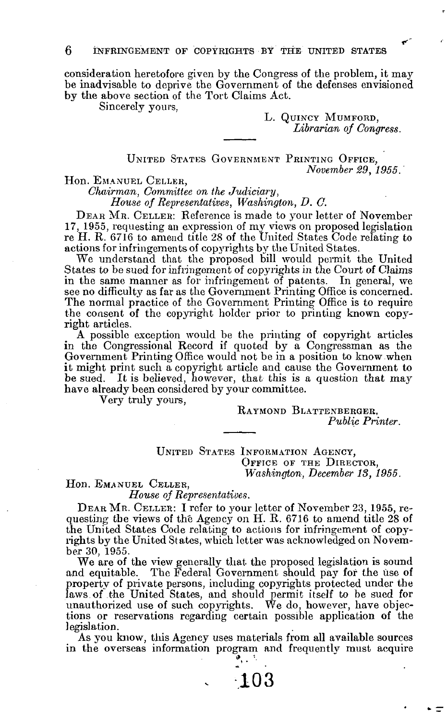consideration heretofore given by the Congress of the problem, it may be inadvisable to deprive the Government of the defenses envisioned by the above section of the Tort Claims Act.

Sincerely yours,

L. QuiNCY **MUMFORD ,**  *Librarian of Congress.* 

**UNITED STATES GOVERNMENT PRINTING OFFICE,**  *November 29, 1955.'* 

Hon. **EMANUEL CELLER,** 

*Chairman, Committee on the Judiciary, House of Representatives, Washington, D. C.* 

**DEAR MR. CELLER**: Reference is made to your letter of November **17, 1955 ,** requesting an expression of my views on proposed legislation re H. R. **671 6** to amend title **2 8** of the United States Code relating to actions for infringements of copyrights by the United States.

We understand that the proposed bill would permit the United States to be sued for infringement of copyrights in the Court of Claims in the same manner as for infringement of patents. In general, we see no difficulty as far as the Government Printing Office is concerned. The normal practice of the Government Printing Office is to require the consent of the copyright holder prior to printing known copyright articles.

A possible exception would be the printing of copyright articles in the Congressional Record if quoted by a Congressman as the Government Printing Office would not be in a position to know when it might print such a copyright article and cause the Government to be sued. It is believed, however, that this is a question that may have already been considered by your committee.

Very truly yours,

**RAYMOND BLATTENBERGER,**  *Public Printer.* 

**UNITED STATES INFORMATION AGENCY, OFFICE OF THE DIRECTOR,**  *Washington-, December IS, 1955.* 

# Hon. **EMANUEL CELLER,**

*House of Representatives.* 

**DEAR MR. CELLER**: I refer to your letter of November **23 , 1955 ,** requesting the views of the Agency on H. R. **671 6** to amend title **2 8** of the United States Code relating to actions for infringement of copyrights by the United States, which letter was acknowledged on November **30 , 1955 .** 

We are of the view generally that the proposed legislation is sound<br>and equitable. The Federal Government should pay for the use of The Federal Government should pay for the use of property of private persons, including copyrights protected under the laws of the United States, and should permit itself to be sued for unauthorized use of such copyrights. We do, however, have objections or reservations regarding certain possible application of the legislation.

As you know, this Agency uses materials from all available sources in the overseas information program and frequently must acquire

**103**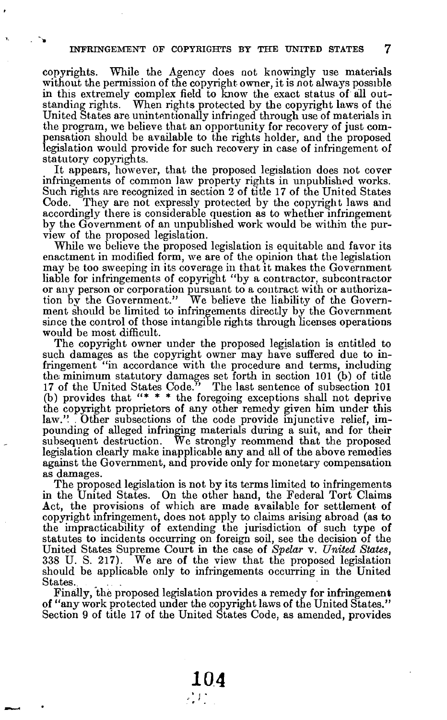copyrights. While the Agency does not knowingly use materials without the permission of the copyright owner, it is not always possible in this extremely complex field to know the exact status of all outstanding rights. When rights protected by the copyright laws of the United States are unintentionally infringed through use of materials in the program, we believe that an opportunity for recovery of just compensation should be available to the rights holder, and the proposed legislation would provide for such recovery in case of infringement of statutory copyrights.

It appears, however, that the proposed legislation does not cover infringements of common law property rights in unpublished works. Such rights are recognized in section **2** of title **1 7** of the United States Code. They are not expressly protected by the copyright laws and accordingly there is considerable question as to whether infringement by the Government of an unpublished work would be within the purview of the proposed legislation.

While we believe the proposed legislation is equitable and favor its enactment in modified form, we are of the opinion that the legislation may be too sweeping in its coverage in that it makes the Government liable for infringements of copyright "by a contractor, subcontractor or any person or corporation pursuant to a contract with or authorization by the Government." We believe the liability of the Government should be limited to infringements directly by the Government since the control of those intangible rights through licenses operations would be most difficult.

The copyright owner under the proposed legislation is entitled to such damages as the copyright owner may have suffered due to infringement "in accordance with the procedure and terms, including the minimum statutory damages set forth in section **101** (b) of title 17 of the United States Code." The last sentence of subsection 101 (b) provides that "\* \* \* the foregoing exceptions shall not deprive the copyright proprietors of any other remedy given him under this law." Other subsections of the code provide injunctive relief, impounding of alleged infringing materials during a suit, and for their subsequent destruction. We strongly reommend that the proposed legislation clearly make inapplicable any and all of the above remedies against the Government, and provide only for monetary compensation as damages.

The proposed legislation is not by its terms limited to infringements in the United States. On the other hand, the Federal Tort Claims Act, the provisions of which are made available for settlement of copyright infringement, does not apply to claims arising abroad (as to the impracticability of extending the jurisdiction of such type of statutes to incidents occurring on foreign soil, see the decision of the United States Supreme Court in the case of *Spelar* v. *United States,*  338 U. S. **217).** We are of the view that the proposed legislation should be applicable only to infringements occurring in the United States.

Finally, the proposed legislation provides a remedy for infringement of "any work protected under the copyright laws of the United States." Section **9** of title **17** of the United States Code, as amended, provides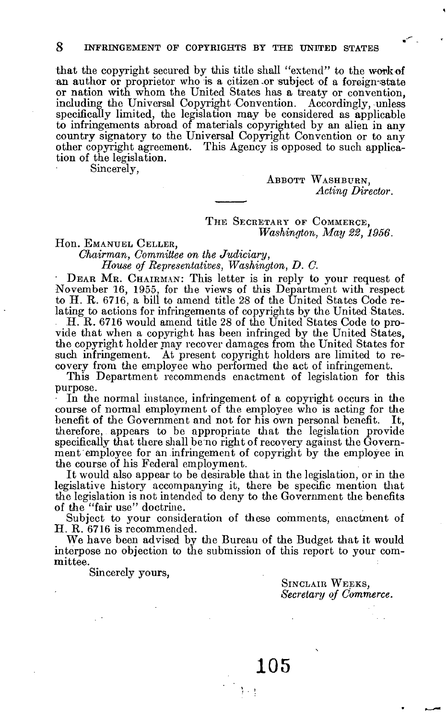that the copyright secured by this title shall "extend" to the work of an author or proprietor who is a citizen or subject of a foreign-state or nation with whom the United States has a treaty or convention, including the Universal Copyright Convention. Accordingly, unless specifically limited, the legislation may be considered as applicable to infringements abroad of materials copyrighted by an alien in any country signatory to the Universal Copyright Convention or to any other copyright agreement. This Agency is opposed to such application of the legislation.

Sincerely,

**ABBOTT WASHBURN,**  *Acting Director.* 

**THE SECRETARY OF COMMERCE,**  *Washington, May 22, 1956.* 

Hon. **EMANUEL CELLER,** 

*Chairman, Committee on the Judiciary,* 

*House of Representatives, Washington, D. C.* 

**DEAR MR. CHAIRMAN**: This letter is in reply to your request of November **16, 1955 ,** for the views of this Department with respect to H. **R . 6716 ,** a bill to amend title **2 8** of the United States Code relating to actions for infringements of copyrights by the United States.

H. **R . 671 6** would amend title **2 8** of the United States Code to provide that when a copyright has been infringed by the United States, the copyright holder may recover damages from the United States for such infringement. At present copyright holders are limited to recovery from the employee who performed the act of infringement.

This Department recommends enactment of legislation for this purpose.

In the normal instance, infringement of a copyright occurs in the course of normal employment of the employee who is acting for the benefit of the Government and not for his own personal benefit. It, therefore, appears to be appropriate that the legislation provide specifically that there shall be no right of recovery against the Government employee for an infringement of copyright by the employee in the course of his Federal employment.

It would also appear to be desirable that in the legislation, or in the legislative history accompanying it, there be specific mention that the legislation is not intended to deny to the Government the benefits of the "fair use" doctrine.

Subject to your consideration of these comments, enactment of H. **R . 671 6** is recommended.

We have been advised by the Bureau of the Budget that it would interpose no objection to the submission of this report to your committee.

Sincerely yours,

**SINCLAIR WEEKS,**  *Secretary of Commerce.*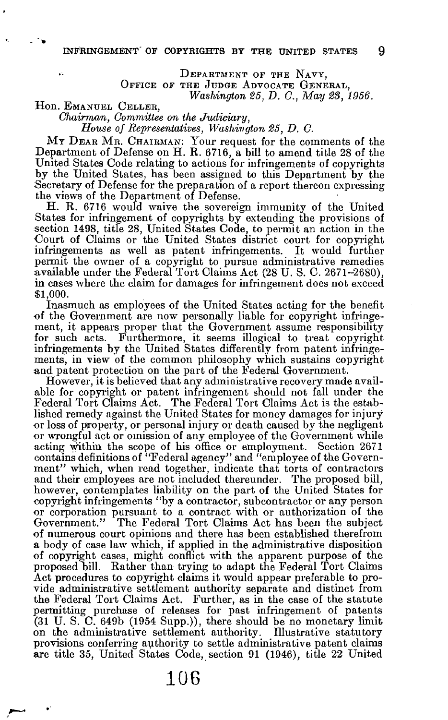**DEPARTMENT OF THE NAVY,** 

**OFFICE OF THE JUDGE ADVOCATE GENERAL,** 

# *Washington 25, D. C, May 23, 1956.*

Hon. **EMANUEL CELLER,** 

*Chairman, Committee on the Judiciary,* 

*House of Representatives, Washington 25, D. C.* 

**MY DEAR MR. CHAIRMAN**: Your request for the comments of the Department of Defense on H. E. 6716, a bill to amend title 28 of the United States Code relating to actions for infringements of copyrights by the United States, has been assigned to this Department by the Secretary of Defense for the preparation of a report thereon expressing the views of the Department of Defense.

H. R. 6716 would waive the sovereign immunity of the United States for infringement of copyrights by extending the provisions of section 1498, title 28, United States Code, to permit an action in the Court of Claims or the United States district court for copyright infringements as well as patent infringements. It would further permit the owner of a copyright to pursue administrative remedies available under the Federal Tort Claims Act (28 U. S. C. 2671-2680), in cases where the claim for damages for infringement does not exceed \$1,000.

Inasmuch as employees of the United States acting for the benefit of the Government are now personally liable for copyright infringement, it appears proper that the Government assume responsibility<br>for such acts. Furthermore, it seems illogical to treat copyright Furthermore, it seems illogical to treat copyright infringements by the United States differently from patent infringements, in view of the common philosophy which sustains copyright and patent protection on the part of the Federal Government.

However, it is believed that any administrative recovery made available for copyright or patent infringement should not fall under the Federal Tort Claims Act. The Federal Tort Claims Act is the established remedy against the United States for money damages for injury or loss of property, or personal injury or death caused by the negligent or wrongful act or omission of any employee of the Government while acting within the scope of his office or employment. Section 2671 contains definitions of "Federal agency" and "employee of the Government" which, when read together, indicate that torts of contractors and their employees are not included thereunder. The proposed bill, however, contemplates liability on the part of the United States for copyright infringements "by a contractor, subcontractor or any person or corporation pursuant to a contract with or authorization of the Government." The Federal Tort Claims Act has been the subject of numerous court opinions and there has been established therefrom a body of case law which, if applied in the administrative disposition of copyright cases, might conflict with the apparent purpose of the proposed bill. Rather than trying to adapt the Federal Tort Claims Act procedures to copyright claims it would appear preferable to provide administrative settlement authority separate and distinct from the Federal Tort Claims Act. Further, as in the case of the statute permitting purchase of releases for past infringement of patents (31 U. S. C. 649b (1954 Supp.)), there should be no monetary limit on the administrative settlement authority. Illustrative statutory provisions conferring authority to settle administrative patent claims are title 35, United States Code, section 91 (1946), title 22 United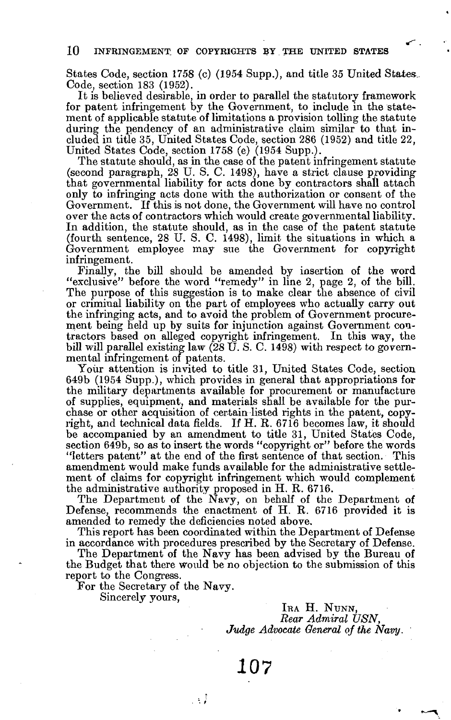# **10 INFRINGEMENT . O F COPYRIGHT S B Y TH E UNITE D STATE S**

**States Code, section 1758 (c) (195 4 Supp.), and title 35 United States.. Code, section 183 (1952).** 

**It is believed desirable, in order to parallel the statutory framework for patent infringement by the Government, to include in the statement of applicable statute of limitations a provision tolling the statute during the pendency of an administrative claim similar to that included in title 35, United States Code, section 286 (1952) and title 22, United States Code, section 1758 (e) (1954 Supp.).** 

**The statute should, as in the case of the patent infringement statute (second paragraph, 28 U. S. C. 1498), have a strict clause providingthat governmental liability for acts done by contractors shall attach only to infringing acts done with the authorization or consent of the Government. If this is not done, the Government will have no control over the acts of contractors which would create governmental liability. In addition, the statute should, as in the case of the patent statute (fourth sentence, 28 U. S. C. 1498), limit the situations in which a Government employee may sue the Government for copyright infringement.** 

**Finally, the bill should be amended by insertion of the word "exclusive" before the word "remedy" in line 2, page 2, of the bill. The purpose of this suggestion is to make clear the absence of civil or criminal liability on the part of employees who actually carry out the infringing acts, and to avoid the problem of Government procurement being held up by suits for injunction against Government contractors based on alleged copyright infringement. In this way, the bill will parallel existing law (28 U. S. C. 1498) with respect to governmental infringement of patents.** 

**Your attention is invited to title 31, United States Code, section 649b (1954 Supp.), which provides in general that appropriations for the military departments available for procurement or manufacture of supplies, equipment, and materials shall be available for the purchase or other acquisition of certain listed rights in the patent, copyright, and technical data fields. If H. R. 6716 becomes law, it should be accompanied by an amendment to title 31, United States Code, section 649b, so as to insert the words "copyright or" before the words "letters patent" at the end of the first sentence of that section. This amendment would make funds available for the administrative settlement of claims for copyright infringement which would complement the administrative authority proposed in H. R. 6716.** 

**The Department of the Navy, on behalf of the Department of**  Defense, recommends the enactment of H. R. 6716 provided it is **amended to remedy the deficiencies noted above.** 

**This report has been coordinated within the Department of Defense in accordance with procedures prescribed by the Secretary of Defense.** 

**The Department of the Navy has been advised by the Bureau of the Budget that there would be no objection to the submission of this report to the Congress.** 

**For the Secretary of the Navy.** 

**Sincerely yours,** 

IRA H. NUNN, *Rear Admiral JJSN, Judge Advocate General of the Navy.* 

# **107**

- 17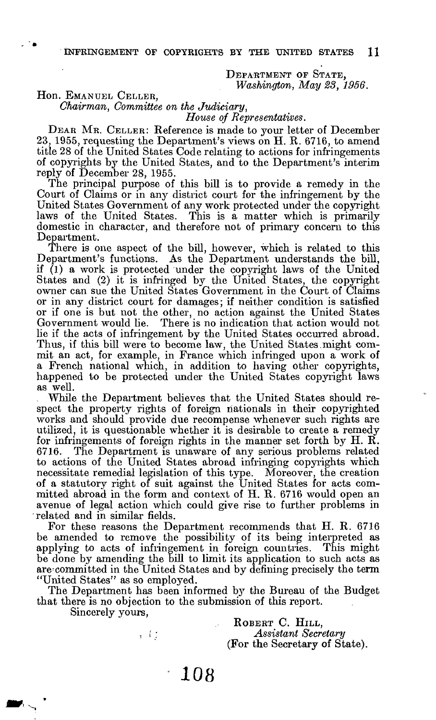**DEPARTMENT OF STATE,**  *Washington, May 23, 1956.* 

### Hon. **EMANUEL CELLER,**

u fa

*Chairman, Committee on the Judiciary,* 

### *House of Representatives.*

**DEAR MR. CELLER**: Reference is made to your letter of December 23, **1955 ,** requesting the Department's views on H. R. **6716 ,** to amend title 28 of the United States Code relating to actions for infringements of copyrights by the United States, and to the Department's interim reply of December 28, **1955 .** 

The principal purpose of this bill is to provide a remedy in the Court of Claims or in any district court for the infringement by the United States Government of any work protected under the copyright laws of the United States. This is a matter which is primarily domestic in character, and therefore not of primary concern to this Department.

There is one aspect of the bill, however, which is related to this Department's functions. As the Department understands the bill, if **(1)** a work is protected under the copyright laws of the United States and (2) it is infringed by the United States, the copyright owner can sue the United States Government in the Court of Claims or in any district court for damages; if neither condition is satisfied or if one is but not the other, no action against the United States Government would lie. There is no indication that action would not lie if the acts of infringement by the United States occurred abroad. Thus, if this bill were to become law, the United States.might commit an act, for example, in France which infringed upon a work of a French national which, in addition to having other copyrights, happened to be protected under the United States copyright laws as well.

. While the Department believes that the United States should respect the property rights of foreign nationals in their copyrighted works and should provide due recompense whenever such rights are utilized, it is questionable whether it is desirable to create a remedy for infringements of foreign rights in the manner set forth by H. R. **6716 .** The Department is unaware of any serious problems related to actions of the United States abroad infringing copyrights which necessitate remedial legislation of this type. Moreover, the creation of a statutory right of suit against the United States for acts committed abroad in the form and context of H. R. **671 6** would open an avenue of legal action which could give rise to further problems in related and in similar fields.

For these reasons the Department recommends that H. R. 6716 be amended to remove the possibility of its being interpreted as applying to acts of infringement in foreign countries. This might be done by amending the bill to limit its application to such acts as are committed in the United States and by defining precisely the term "United States" as so employed.

The Department has been informed by the Bureau of the Budget that there is no objection to the submission of this report.

Sincerely yours,

**ROBERT** C. **HILL, , i ;** *Assistant Secretary*  (For the Secretary of State).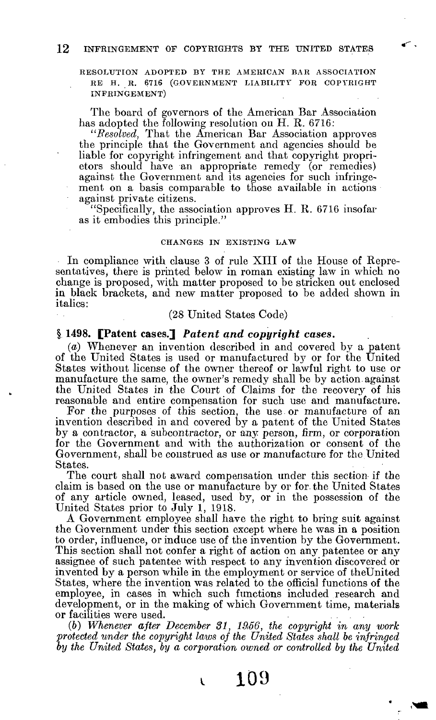### 12 INFRINGEMENT OF COPYRIGHTS BY THE UNITED STATES

**RESOLUTION ADOPTED BY THE AMERICAN BAR ASSOCIATION RE H. R. 6716 (GOVERNMENT LIABILITY FOR COPYRIGHT INFRINGEMENT)** 

The board of governors of the American Bar Association has adopted the following resolution on H. R. 6716:

*"Resolved,* That the American Bar Association approves the principle that the Government and agencies should be liable for copyright infringement and that copyright proprietors should have an appropriate remedy (or remedies) against the Government and its agencies for such infringement on a basis comparable to those available in actions against private citizens.

"Specifically, the association approves H. R. 6716 insofar as it embodies this principle."

# **CHANGES IN EXISTING LAW**

In compliance with clause 3 of rule XIII of the House of Representatives, there is printed below in roman existing law in which no change is proposed, with matter proposed to be stricken out enclosed in black brackets, and new matter proposed to be added shown in italics:

### (28 United States Code)

# **§ 1498. [Patent cases.]** *Patent and copyright cases.*

*(a)* Whenever an invention described in and covered by a patent of the United States is used or manufactured by or for the United States without license of the owner thereof or lawful right to use or manufacture the same, the owner's remedy shall be by action, against the United States in the Court of Claims for the recovery of his reasonable and entire compensation for such use and manufacture.

For the purposes of this section, the use or manufacture of an invention described in and covered by a patent of the United States by a contractor, a subcontractor, or any person, firm, or corporation for the Government and with the authorization or consent of the Government, shall be construed as use or manufacture for the United States.

The court shall not award compensation under this section if the claim is based on the use or manufacture by or for. the United States of any article owned, leased, used by, or in the possession of the United States prior to July 1, 1918.

A Government employee shall have the right to bring suit against the Government under this section except where he was in a position to order, influence, or induce use of the invention by the Government. This section shall not confer a right of action on any patentee or any assignee of such patentee with respect to any invention discovered or invented by a person while in the employment or service of theUnited States, where the invention was related to the official functions of the employee, in cases in which such functions included research and development, or in the making of which Government time, materials or facilities were used.

*(b) Whenever after December 31, 19,56, the copyright in any work protected under the copyright laws of the United States shall be infringed*  by the United States, by a corporation owned or controlled by the United

# **i 109**